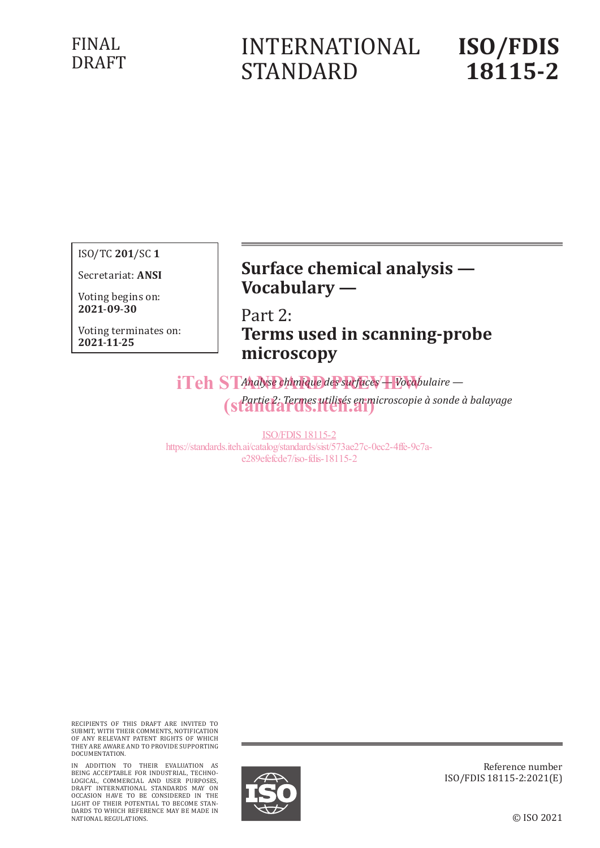## FINAL<br>DRAFT

## FINAL **INTERNATIONAL ISO/FDIS**<br>DRAFT STANDARD 18115-2 STANDARD

# **18115-2**

ISO/TC **201**/SC **1**

Secretariat: **ANSI**

Voting begins on: **2021**-**09**-**30**

Voting terminates on: **2021**-**11**-**25**

## **Surface chemical analysis — Vocabulary —**

Part 2: **Terms used in scanning-probe microscopy**

 $\textbf{if} \textbf{P} \textbf{h} \textbf{S}^\textbf{T}$ Analyse chimique des surfaces + Vocabulaire —

*Partie 2: Termes utilisés en microscopie à sonde à balayage* (standards.iteh.ai)

ISO/FDIS 18115-2 https://standards.iteh.ai/catalog/standards/sist/573ae27c-0ec2-4ffe-9c7ae289efefcde7/iso-fdis-18115-2

RECIPIENTS OF THIS DRAFT ARE INVITED TO SUBMIT, WITH THEIR COMMENTS, NOTIFICATION OF ANY RELEVANT PATENT RIGHTS OF WHICH THEY ARE AWARE AND TO PROVIDE SUPPORTING DOCUMENTATION.

IN ADDITION TO THEIR EVALUATION AS<br>BEING ACCEPTABLE FOR INDUSTRIAL, TECHNO-<br>LOGICAL, COMMERCIAL AND USER PURPOSES,<br>DRAFT INTERNATIONAL STANDARDS MAY ON<br>OCCASION HAVE TO BE CONSIDERED IN THE<br>LIGHT OF THEIR POTENTIAL TO BECO DARDS TO WHICH REFERENCE MAY BE MADE IN NATIONAL REGULATIONS. NATIONAL REGULATIONS. CONTROL CONTROL CONTROL CONTROL CONTROL CONTROL CONTROL CONTROL CONTROL CONTROL CONTROL CONTROL CONTROL CONTROL CONTROL CONTROL CONTROL CONTROL CONTROL CONTROL CONTROL CONTROL CONTROL CONTROL CONTROL



Reference number ISO/FDIS 18115-2:2021(E)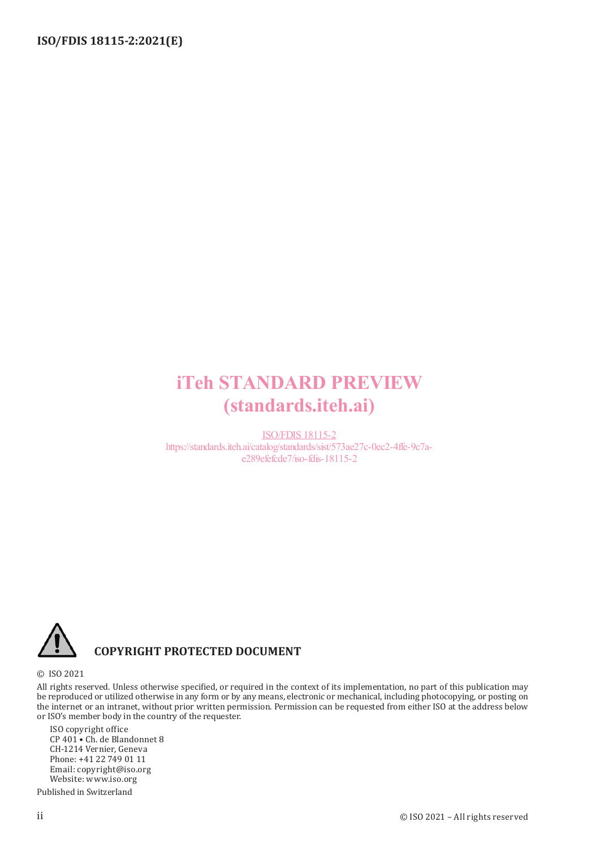## iTeh STANDARD PREVIEW (standards.iteh.ai)

ISO/FDIS 18115-2 https://standards.iteh.ai/catalog/standards/sist/573ae27c-0ec2-4ffe-9c7ae289efefcde7/iso-fdis-18115-2



#### **COPYRIGHT PROTECTED DOCUMENT**

#### © ISO 2021

All rights reserved. Unless otherwise specified, or required in the context of its implementation, no part of this publication may be reproduced or utilized otherwise in any form or by any means, electronic or mechanical, including photocopying, or posting on the internet or an intranet, without prior written permission. Permission can be requested from either ISO at the address below or ISO's member body in the country of the requester.

ISO copyright office CP 401 • Ch. de Blandonnet 8 CH-1214 Vernier, Geneva Phone: +41 22 749 01 11 Email: copyright@iso.org Website: www.iso.org

Published in Switzerland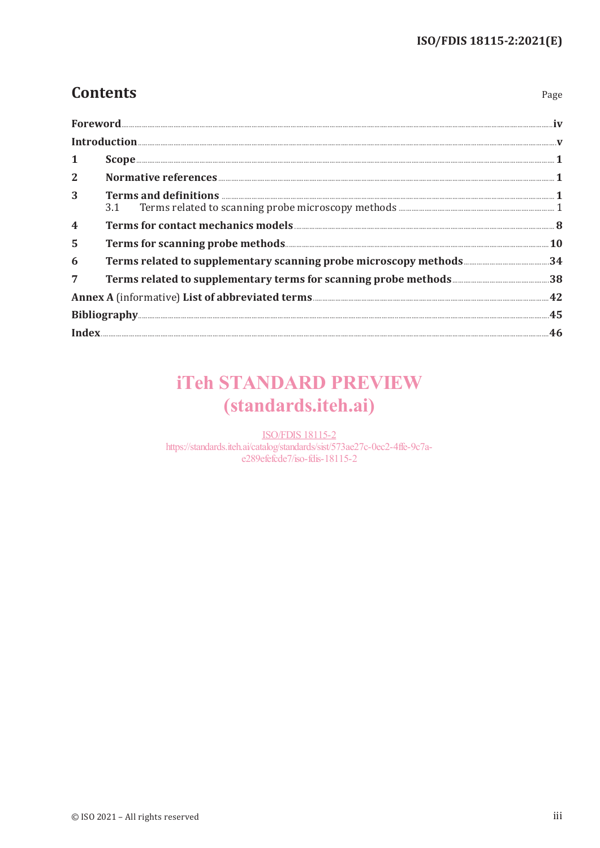Page

## **Contents**

|                         | $\textbf{For} \textbf{word} \textcolor{red}{.\textcolor{blue}{\textbf{so}-1}} \textbf{iv}$                                                                                                                                                                                                                                                                                              |  |
|-------------------------|-----------------------------------------------------------------------------------------------------------------------------------------------------------------------------------------------------------------------------------------------------------------------------------------------------------------------------------------------------------------------------------------|--|
|                         |                                                                                                                                                                                                                                                                                                                                                                                         |  |
| $\mathbf{1}$            | $\textbf{Scope} \texttt{} \texttt{} \texttt{} \texttt{} \texttt{} \texttt{} \texttt{} \texttt{} \texttt{} \texttt{} \texttt{} \texttt{} \texttt{} \texttt{} \texttt{} \texttt{} \texttt{} \texttt{} \texttt{} \texttt{} \texttt{} \texttt{} \texttt{} \texttt{} \texttt{} \texttt{} \texttt{} \texttt{} \texttt{} \texttt{} \texttt{} \texttt{} \texttt{} \texttt{} \texttt{} \texttt{$ |  |
| 2 <sup>1</sup>          |                                                                                                                                                                                                                                                                                                                                                                                         |  |
| 3                       |                                                                                                                                                                                                                                                                                                                                                                                         |  |
| $\overline{\mathbf{4}}$ |                                                                                                                                                                                                                                                                                                                                                                                         |  |
| 5                       | Terms for scanning probe methods 2000 10 and 2000 10 and 2000 10 and 2000 10 and 2000 10 and 2000 10 and 2000 10 and 2000 10 and 2000 10 and 2000 10 and 2000 10 and 2000 10 and 2000 10 and 2000 10 and 2000 10 and 2000 10 a                                                                                                                                                          |  |
| 6                       |                                                                                                                                                                                                                                                                                                                                                                                         |  |
| $\overline{7}$          |                                                                                                                                                                                                                                                                                                                                                                                         |  |
|                         |                                                                                                                                                                                                                                                                                                                                                                                         |  |
|                         |                                                                                                                                                                                                                                                                                                                                                                                         |  |
|                         |                                                                                                                                                                                                                                                                                                                                                                                         |  |

## **iTeh STANDARD PREVIEW** (standards.iteh.ai)

**ISO/FDIS 18115-2** https://standards.iteh.ai/catalog/standards/sist/573ae27c-0ec2-4ffe-9c7ae289efefcde7/iso-fdis-18115-2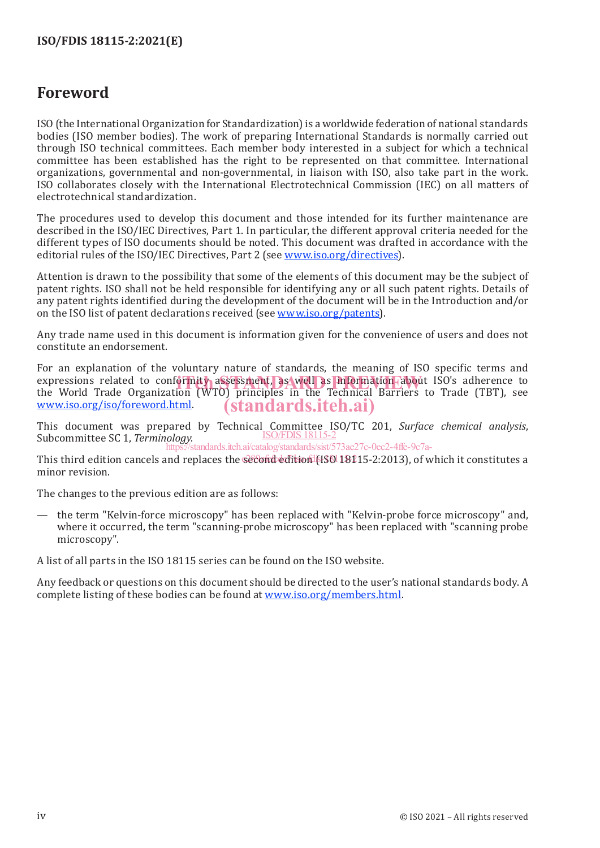## **Foreword**

ISO (the International Organization for Standardization) is a worldwide federation of national standards bodies (ISO member bodies). The work of preparing International Standards is normally carried out through ISO technical committees. Each member body interested in a subject for which a technical committee has been established has the right to be represented on that committee. International organizations, governmental and non-governmental, in liaison with ISO, also take part in the work. ISO collaborates closely with the International Electrotechnical Commission (IEC) on all matters of electrotechnical standardization.

The procedures used to develop this document and those intended for its further maintenance are described in the ISO/IEC Directives, Part 1. In particular, the different approval criteria needed for the different types of ISO documents should be noted. This document was drafted in accordance with the editorial rules of the ISO/IEC Directives, Part 2 (see www.iso.org/directives).

Attention is drawn to the possibility that some of the elements of this document may be the subject of patent rights. ISO shall not be held responsible for identifying any or all such patent rights. Details of any patent rights identified during the development of the document will be in the Introduction and/or on the ISO list of patent declarations received (see www.iso.org/patents).

Any trade name used in this document is information given for the convenience of users and does not constitute an endorsement.

For an explanation of the voluntary nature of standards, the meaning of ISO specific terms and expressions related to conformity assessment, as well as information about ISO's adherence to the World Trade the World Trade Organization (WTO) principles in the Technical Barriers to Trade (TBT), see www.iso.org/iso/foreword.html. (standards.iteh.ai)

This document was prepared by Technical Committee ISO/TC 201, *Surface chemical analysis*, Subcommittee SC 1, *Terminology*. ISO/FDIS 18115-2 https://standards.iteh.ai/catalog/standards/sist/573ae27c-0ec2-4ffe-9c7a-

This third edition cancels and replaces the second edition (HSO 18115-2:2013), of which it constitutes a minor revision.

The changes to the previous edition are as follows:

— the term "Kelvin-force microscopy" has been replaced with "Kelvin-probe force microscopy" and, where it occurred, the term "scanning-probe microscopy" has been replaced with "scanning probe microscopy".

A list of all parts in the ISO 18115 series can be found on the ISO website.

Any feedback or questions on this document should be directed to the user's national standards body. A complete listing of these bodies can be found at www.iso.org/members.html.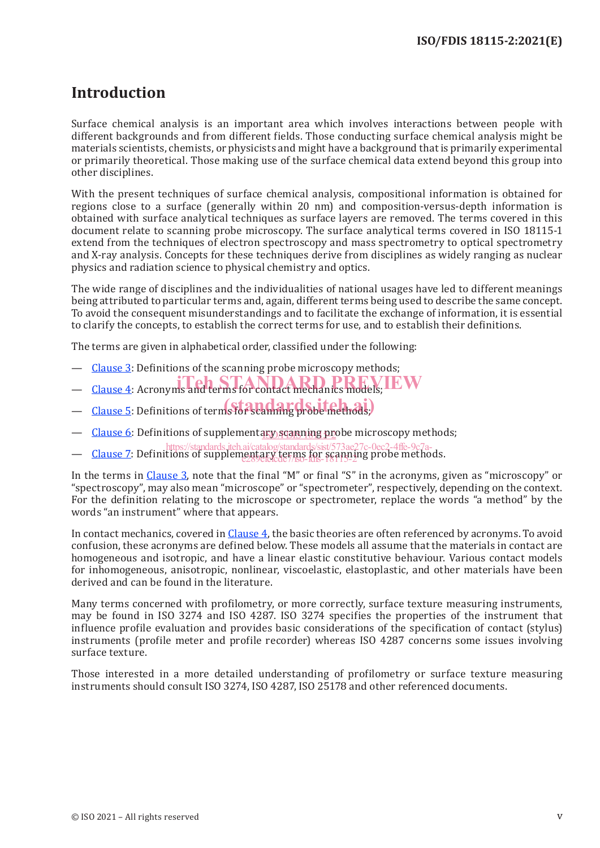## **Introduction**

Surface chemical analysis is an important area which involves interactions between people with different backgrounds and from different fields. Those conducting surface chemical analysis might be materials scientists, chemists, or physicists and might have a background that is primarily experimental or primarily theoretical. Those making use of the surface chemical data extend beyond this group into other disciplines.

With the present techniques of surface chemical analysis, compositional information is obtained for regions close to a surface (generally within 20 nm) and composition-versus-depth information is obtained with surface analytical techniques as surface layers are removed. The terms covered in this document relate to scanning probe microscopy. The surface analytical terms covered in ISO 18115-1 extend from the techniques of electron spectroscopy and mass spectrometry to optical spectrometry and X-ray analysis. Concepts for these techniques derive from disciplines as widely ranging as nuclear physics and radiation science to physical chemistry and optics.

The wide range of disciplines and the individualities of national usages have led to different meanings being attributed to particular terms and, again, different terms being used to describe the same concept. To avoid the consequent misunderstandings and to facilitate the exchange of information, it is essential to clarify the concepts, to establish the correct terms for use, and to establish their definitions.

The terms are given in alphabetical order, classified under the following:

- Clause 3: Definitions of the scanning probe microscopy methods;
- Clause 4: Acronyms and terms for contact mechanics models;
- Clause 5: Definitions of terms for scanning probe methods;
- <u>Clause 6</u>: Definitions of supplementa<u>ry) scanning pr</u>obe microscopy methods;
- Clause 7: Definitions of supplementary terms for scanning probe methods. https://standards.iteh.ai/catalog/standards/sist/573ae27c-0ec2-4ffe-9c7ae289efefcde7/iso-fdis-18115-2

In the terms in Clause 3, note that the final "M" or final "S" in the acronyms, given as "microscopy" or "spectroscopy", may also mean "microscope" or "spectrometer", respectively, depending on the context. For the definition relating to the microscope or spectrometer, replace the words "a method" by the words "an instrument" where that appears.

In contact mechanics, covered in Clause 4, the basic theories are often referenced by acronyms. To avoid confusion, these acronyms are defined below. These models all assume that the materials in contact are homogeneous and isotropic, and have a linear elastic constitutive behaviour. Various contact models for inhomogeneous, anisotropic, nonlinear, viscoelastic, elastoplastic, and other materials have been derived and can be found in the literature.

Many terms concerned with profilometry, or more correctly, surface texture measuring instruments, may be found in ISO 3274 and ISO 4287. ISO 3274 specifies the properties of the instrument that influence profile evaluation and provides basic considerations of the specification of contact (stylus) instruments (profile meter and profile recorder) whereas ISO 4287 concerns some issues involving surface texture.

Those interested in a more detailed understanding of profilometry or surface texture measuring instruments should consult ISO 3274, ISO 4287, ISO 25178 and other referenced documents.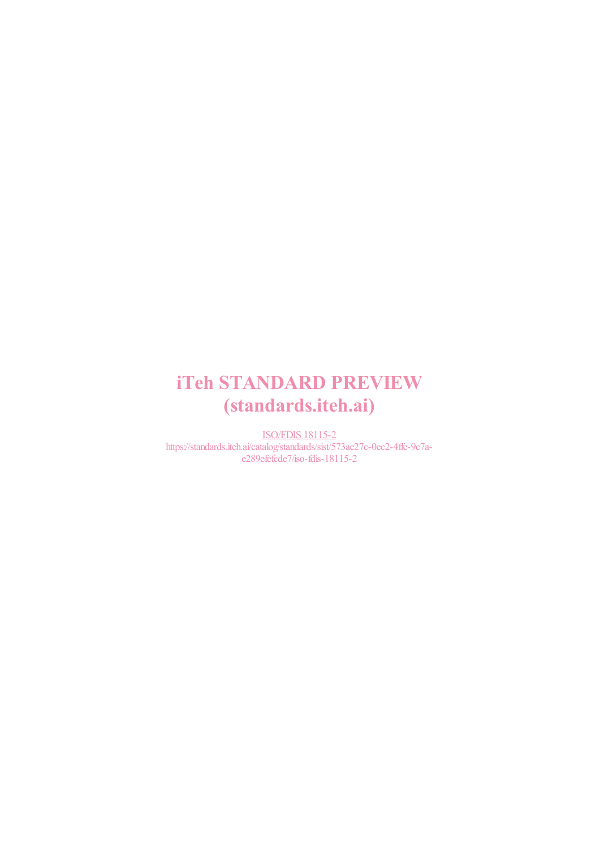## iTeh STANDARD PREVIEW (standards.iteh.ai)

ISO/FDIS 18115-2 https://standards.iteh.ai/catalog/standards/sist/573ae27c-0ec2-4ffe-9c7ae289efefcde7/iso-fdis-18115-2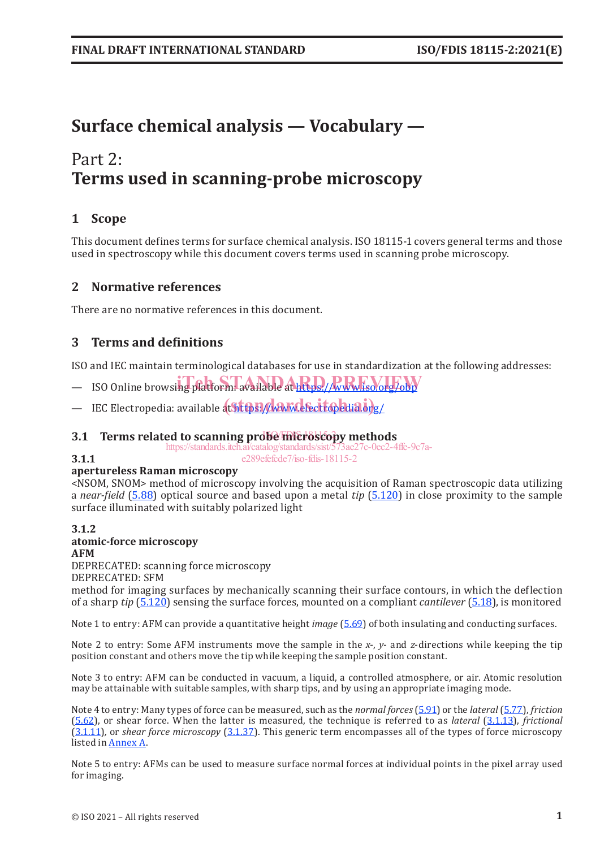## **Surface chemical analysis — Vocabulary —**

## Part 2: **Terms used in scanning-probe microscopy**

#### **1 Scope**

**3.1.1**

This document defines terms for surface chemical analysis. ISO 18115-1 covers general terms and those used in spectroscopy while this document covers terms used in scanning probe microscopy.

#### **2 Normative references**

There are no normative references in this document.

#### **3 Terms and definitions**

ISO and IEC maintain terminological databases for use in standardization at the following addresses:

- ISO Online browsing platform: available at https://www.iso.org/obp
- IEC Electropedia: available at https://www.electropedia.org/

#### 3.1 Terms related to scanning probe microscopy methods

https://standards.iteh.ai/catalog/standards/sist/573ae27c-0ec2-4ffe-9c7a-

e289efefcde7/iso-fdis-18115-2

#### **apertureless Raman microscopy**

<NSOM, SNOM> method of microscopy involving the acquisition of Raman spectroscopic data utilizing a *near-field* (5.88) optical source and based upon a metal *tip* (5.120) in close proximity to the sample surface illuminated with suitably polarized light

**3.1.2 atomic-force microscopy AFM**

DEPRECATED: scanning force microscopy DEPRECATED: SFM

method for imaging surfaces by mechanically scanning their surface contours, in which the deflection of a sharp *tip* (5.120) sensing the surface forces, mounted on a compliant *cantilever* (5.18), is monitored

Note 1 to entry: AFM can provide a quantitative height *image* (5.69) of both insulating and conducting surfaces.

Note 2 to entry: Some AFM instruments move the sample in the *x*-, *y*- and *z*-directions while keeping the tip position constant and others move the tip while keeping the sample position constant.

Note 3 to entry: AFM can be conducted in vacuum, a liquid, a controlled atmosphere, or air. Atomic resolution may be attainable with suitable samples, with sharp tips, and by using an appropriate imaging mode.

Note 4 to entry: Many types of force can be measured, such as the *normal forces* (5.91) or the *lateral* (5.77), *friction* (5.62), or shear force. When the latter is measured, the technique is referred to as *lateral* (3.1.13), *frictional* (3.1.11)*,* or *shear force microscopy* (3.1.37). This generic term encompasses all of the types of force microscopy listed in Annex A.

Note 5 to entry: AFMs can be used to measure surface normal forces at individual points in the pixel array used for imaging.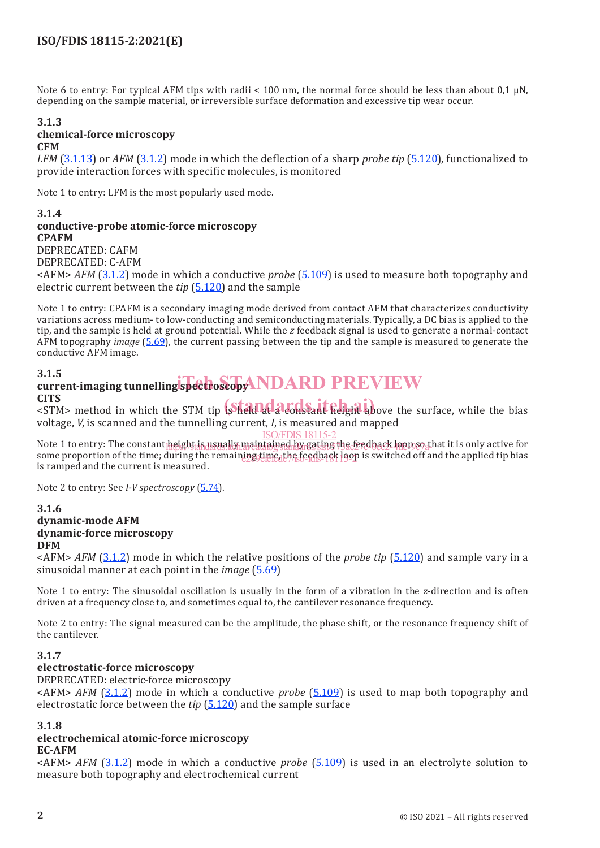Note 6 to entry: For typical AFM tips with radii < 100 nm, the normal force should be less than about 0,1 μN, depending on the sample material, or irreversible surface deformation and excessive tip wear occur.

#### **3.1.3 chemical-force microscopy CFM**

*LFM* (3.1.13) or *AFM* (3.1.2) mode in which the deflection of a sharp *probe tip* (5.120), functionalized to provide interaction forces with specific molecules, is monitored

Note 1 to entry: LFM is the most popularly used mode.

#### **3.1.4 conductive-probe atomic-force microscopy CPAFM** DEPRECATED: CAFM

DEPRECATED: C-AFM

<AFM> *AFM* (3.1.2) mode in which a conductive *probe* (5.109) is used to measure both topography and electric current between the *tip* (5.120) and the sample

Note 1 to entry: CPAFM is a secondary imaging mode derived from contact AFM that characterizes conductivity variations across medium- to low-conducting and semiconducting materials. Typically, a DC bias is applied to the tip, and the sample is held at ground potential. While the *z* feedback signal is used to generate a normal-contact AFM topography *image* (5.69), the current passing between the tip and the sample is measured to generate the conductive AFM image.

#### **3.1.5**

#### 3.1.5<br>current-imaging tunnelling**spectroscopyANDARD PREVIEW CITS**

CITS<br><STM> method in which the STM tip is held at a constant height above the surface, while the bias voltage, *V*, is scanned and the tunnelling current, *I*, is measured and mapped

ISO/FDIS 18115-2

Note 1 to entry: The constant height is usually maintained by gating the feedback loop so that it is only active for some proportion of the time; during the remaining time, the feedback loop is switched off and the applied tip bias<br>is ramped and the current is measured.

Note 2 to entry: See *I-V spectroscopy* (5.74).

#### **3.1.6 dynamic-mode AFM dynamic-force microscopy DFM**

<AFM> *AFM* (3.1.2) mode in which the relative positions of the *probe tip* (5.120) and sample vary in a sinusoidal manner at each point in the *image* (5.69)

Note 1 to entry: The sinusoidal oscillation is usually in the form of a vibration in the *z*-direction and is often driven at a frequency close to, and sometimes equal to, the cantilever resonance frequency.

Note 2 to entry: The signal measured can be the amplitude, the phase shift, or the resonance frequency shift of the cantilever.

#### **3.1.7**

#### **electrostatic-force microscopy**

DEPRECATED: electric-force microscopy

<AFM> *AFM* (3.1.2) mode in which a conductive *probe* (5.109) is used to map both topography and electrostatic force between the *tip* (5.120) and the sample surface

#### **3.1.8**

#### **electrochemical atomic-force microscopy EC-AFM**

<AFM> *AFM* (3.1.2) mode in which a conductive *probe* (5.109) is used in an electrolyte solution to measure both topography and electrochemical current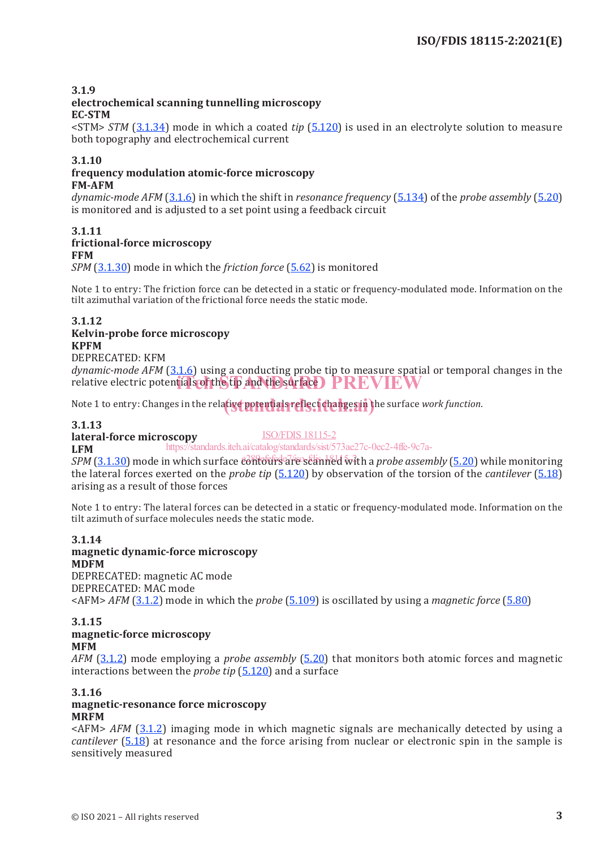#### **3.1.9**

#### **electrochemical scanning tunnelling microscopy EC-STM**

<STM> *STM* (3.1.34) mode in which a coated *tip* (5.120) is used in an electrolyte solution to measure both topography and electrochemical current

#### **3.1.10 frequency modulation atomic-force microscopy FM-AFM**

*dynamic-mode AFM* (3.1.6) in which the shift in *resonance frequency* (5.134) of the *probe assembly* (5.20) is monitored and is adjusted to a set point using a feedback circuit

#### **3.1.11 frictional-force microscopy FFM**

*SPM* (3.1.30) mode in which the *friction force* (5.62) is monitored

Note 1 to entry: The friction force can be detected in a static or frequency-modulated mode. Information on the tilt azimuthal variation of the frictional force needs the static mode.

#### **3.1.12 Kelvin-probe force microscopy KPFM**

DEPRECATED: KFM

*dynamic-mode AFM* (3.1.6) using a conducting probe tip to measure spatial or temporal changes in the relative electric potentials of the tip and the surface) PREVIEW

Note 1 to entry: Changes in the rela<mark>tive potentials reflect changes in</mark> the surface *work function*.

#### **3.1.13**

**lateral-force microscopy**

ISO/FDIS 18115-2

**LFM** https://standards.iteh.ai/catalog/standards/sist/573ae27c-0ec2-4ffe-9c7a-

*SPM* (3.1.30) mode in which surface contours are scanned with a *probe assembly* (5.20) while monitoring the lateral forces exerted on the *probe tip* (5.120) by observation of the torsion of the *cantilever* (5.18) arising as a result of those forces

Note 1 to entry: The lateral forces can be detected in a static or frequency-modulated mode. Information on the tilt azimuth of surface molecules needs the static mode.

#### **3.1.14 magnetic dynamic-force microscopy MDFM** DEPRECATED: magnetic AC mode DEPRECATED: MAC mode <AFM> *AFM* (3.1.2) mode in which the *probe* (5.109) is oscillated by using a *magnetic force* (5.80)

#### **3.1.15 magnetic-force microscopy MFM**

*AFM* (3.1.2) mode employing a *probe assembly* (5.20) that monitors both atomic forces and magnetic interactions between the *probe tip* (5.120) and a surface

#### **3.1.16 magnetic-resonance force microscopy MRFM**

<AFM> *AFM* (3.1.2) imaging mode in which magnetic signals are mechanically detected by using a *cantilever* (5.18) at resonance and the force arising from nuclear or electronic spin in the sample is sensitively measured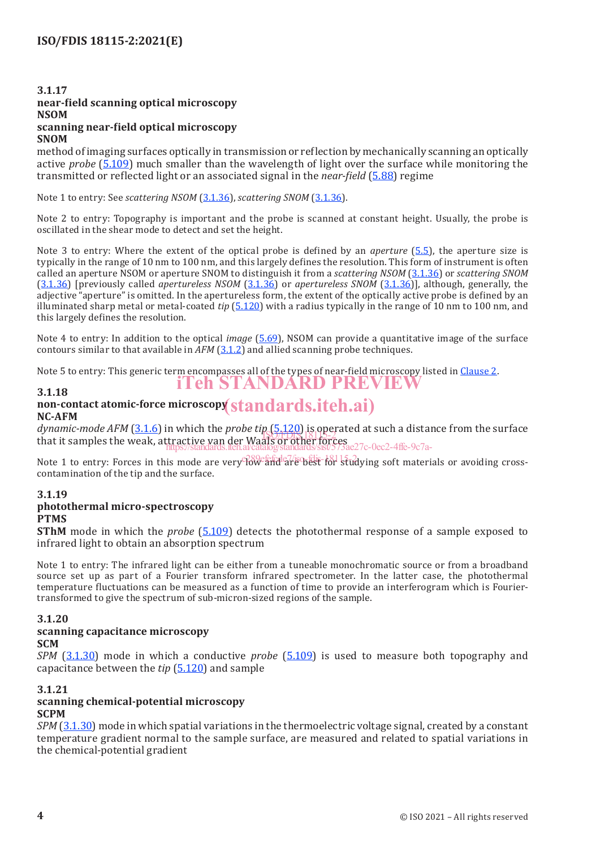#### **3.1.17 near-field scanning optical microscopy NSOM scanning near-field optical microscopy SNOM**

method of imaging surfaces optically in transmission or reflection by mechanically scanning an optically active *probe* (5.109) much smaller than the wavelength of light over the surface while monitoring the transmitted or reflected light or an associated signal in the *near-field* (5.88) regime

Note 1 to entry: See *scattering NSOM* (3.1.36), *scattering SNOM* (3.1.36).

Note 2 to entry: Topography is important and the probe is scanned at constant height. Usually, the probe is oscillated in the shear mode to detect and set the height.

Note 3 to entry: Where the extent of the optical probe is defined by an *aperture* (5.5), the aperture size is typically in the range of 10 nm to 100 nm, and this largely defines the resolution. This form of instrument is often called an aperture NSOM or aperture SNOM to distinguish it from a *scattering NSOM* (3.1.36) or *scattering SNOM* (3.1.36) [previously called *apertureless NSOM* (3.1.36) or *apertureless SNOM* (3.1.36)], although, generally, the adjective "aperture" is omitted. In the apertureless form, the extent of the optically active probe is defined by an illuminated sharp metal or metal-coated *tip* (5.120) with a radius typically in the range of 10 nm to 100 nm, and this largely defines the resolution.

Note 4 to entry: In addition to the optical *image* (5.69), NSOM can provide a quantitative image of the surface contours similar to that available in *AFM* (3.1.2) and allied scanning probe techniques.

Note 5 to entry: This generic term encompasses all of the types of near-field microscopy listed in Clause 2. iTeh STANDARD PREVIEW

#### **3.1.18**

#### **non-contact atomic-force microscopy** standards.iteh.ai) **NC-AFM**

*dynamic-mode AFM* (3.1.6) in which the *probe tip* (5.120) is operated at such a distance from the surface that it samples the weak, attractive van der Waals or other forces ISO/FDIS 18115-2 https://standards.iteh.ai/catalog/standards/sist/573ae27c-0ec2-4ffe-9c7a-

Note 1 to entry: Forces in this mode are very fow and are belly for studying soft materials or avoiding crosscontamination of the tip and the surface.

#### **3.1.19**

#### **photothermal micro-spectroscopy**

#### **PTMS**

**SThM** mode in which the *probe* (5.109) detects the photothermal response of a sample exposed to infrared light to obtain an absorption spectrum

Note 1 to entry: The infrared light can be either from a tuneable monochromatic source or from a broadband source set up as part of a Fourier transform infrared spectrometer. In the latter case, the photothermal temperature fluctuations can be measured as a function of time to provide an interferogram which is Fouriertransformed to give the spectrum of sub-micron-sized regions of the sample.

#### **3.1.20**

#### **scanning capacitance microscopy SCM**

*SPM* (3.1.30) mode in which a conductive *probe* (5.109) is used to measure both topography and capacitance between the *tip* (5.120) and sample

#### **3.1.21**

#### **scanning chemical-potential microscopy SCPM**

*SPM* (3.1.30) mode in which spatial variations in the thermoelectric voltage signal, created by a constant temperature gradient normal to the sample surface, are measured and related to spatial variations in the chemical-potential gradient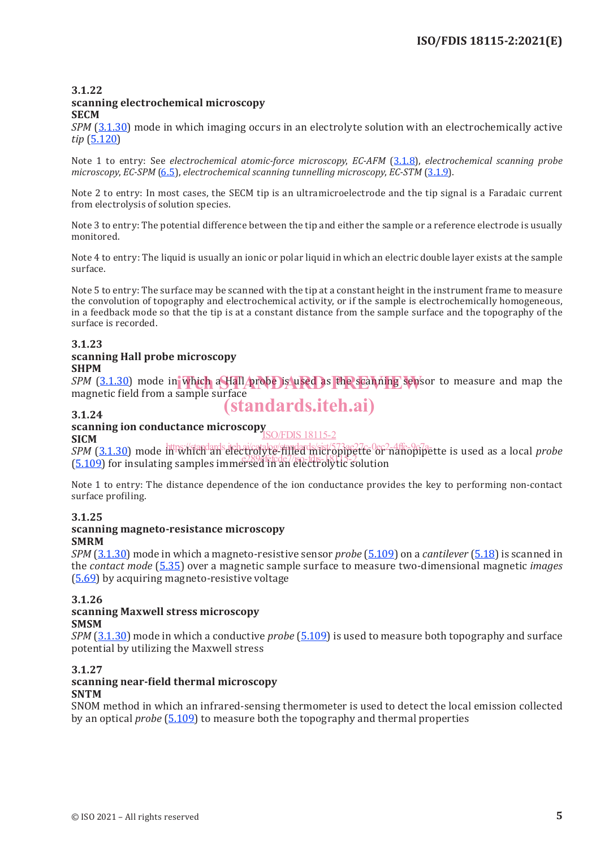#### **3.1.22 scanning electrochemical microscopy SECM**

*SPM* (3.1.30) mode in which imaging occurs in an electrolyte solution with an electrochemically active *tip* (5.120)

Note 1 to entry: See *electrochemical atomic-force microscopy*, *EC-AFM* (3.1.8), *electrochemical scanning probe microscopy*, *EC-SPM* (6.5), *electrochemical scanning tunnelling microscopy*, *EC-STM* (3.1.9).

Note 2 to entry: In most cases, the SECM tip is an ultramicroelectrode and the tip signal is a Faradaic current from electrolysis of solution species.

Note 3 to entry: The potential difference between the tip and either the sample or a reference electrode is usually monitored.

Note 4 to entry: The liquid is usually an ionic or polar liquid in which an electric double layer exists at the sample surface.

Note 5 to entry: The surface may be scanned with the tip at a constant height in the instrument frame to measure the convolution of topography and electrochemical activity, or if the sample is electrochemically homogeneous, in a feedback mode so that the tip is at a constant distance from the sample surface and the topography of the surface is recorded.

#### **3.1.23 scanning Hall probe microscopy SHPM**

 $SPM$   $(3.1.30)$  mode in which a Hall probe is used as the scanning sensor to measure and map the magnetic field from a sample surface magnetic field from a sample surface (standards.iteh.ai)

#### **3.1.24**

#### **scanning ion conductance microscopy** ISO/FDIS 18115-2 **SICM**

**SPM** (3.1.30) mode **in which and signal micropic midded** micropipette<sup>0</sup> or nanopipette is used as a local *probe* examples in the an electrolytic solution (5.109) for insulating samples immersed in an electrolytic solution

Note 1 to entry: The distance dependence of the ion conductance provides the key to performing non-contact surface profiling.

#### **3.1.25**

#### **scanning magneto-resistance microscopy SMRM**

*SPM* (3.1.30) mode in which a magneto-resistive sensor *probe* (5.109) on a *cantilever* (5.18) is scanned in the *contact mode* (5.35) over a magnetic sample surface to measure two-dimensional magnetic *images* (5.69) by acquiring magneto-resistive voltage

#### **3.1.26**

#### **scanning Maxwell stress microscopy SMSM**

*SPM* (3.1.30) mode in which a conductive *probe* (5.109) is used to measure both topography and surface potential by utilizing the Maxwell stress

#### **3.1.27**

#### **scanning near-field thermal microscopy SNTM**

SNOM method in which an infrared-sensing thermometer is used to detect the local emission collected by an optical *probe* (5.109) to measure both the topography and thermal properties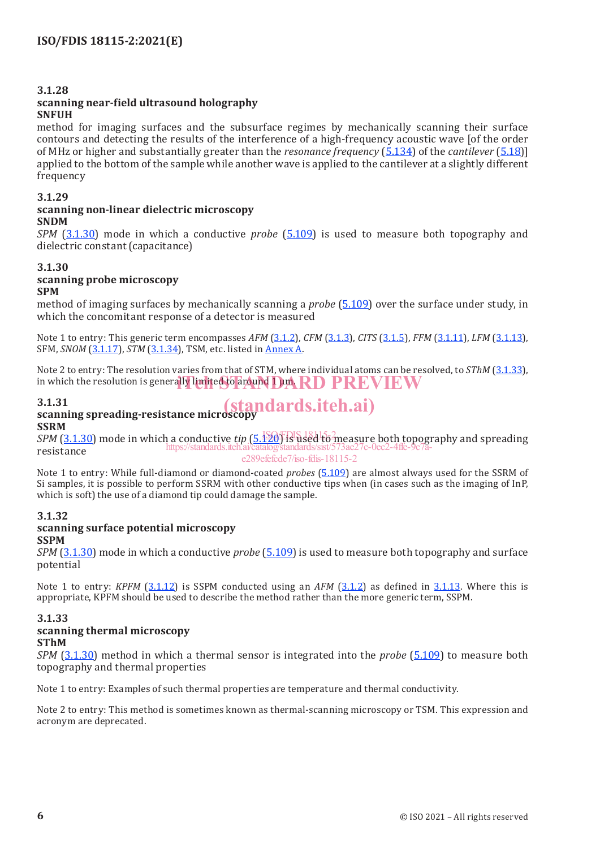#### **3.1.28**

#### **scanning near-field ultrasound holography SNFUH**

method for imaging surfaces and the subsurface regimes by mechanically scanning their surface contours and detecting the results of the interference of a high-frequency acoustic wave [of the order of MHz or higher and substantially greater than the *resonance frequency* (5.134) of the *cantilever* (5.18)] applied to the bottom of the sample while another wave is applied to the cantilever at a slightly different frequency

#### **3.1.29**

#### **scanning non-linear dielectric microscopy SNDM**

*SPM* (3.1.30) mode in which a conductive *probe* (5.109) is used to measure both topography and dielectric constant (capacitance)

#### **3.1.30**

#### **scanning probe microscopy**

#### **SPM**

method of imaging surfaces by mechanically scanning a *probe* (5.109) over the surface under study, in which the concomitant response of a detector is measured

Note 1 to entry: This generic term encompasses *AFM* (3.1.2), *CFM* (3.1.3), *CITS* (3.1.5), *FFM* (3.1.11), *LFM* (3.1.13), SFM, *SNOM* (3.1.17), *STM* (3.1.34), TSM, etc. listed in Annex A.

Note 2 to entry: The resolution varies from that of STM, where individual atoms can be resolved, to *SThM* (3.1.33), in which the resolution is generally limited to around Dun, RD PREVIEW

#### **3.1.31**

#### **scanning spreading-resistance microscopy** (standards.iteh.ai)

**SSRM**

**SPM (3.1.30)** mode in which a conductive *tip* (5.150) is used to measure both topography and spreading resistance https://standards.iteh.ai/catalog/standards/sist/573ae27c-0ec2-4ffe-9c7ae289efefcde7/iso-fdis-18115-2

Note 1 to entry: While full-diamond or diamond-coated *probes* (5.109) are almost always used for the SSRM of Si samples, it is possible to perform SSRM with other conductive tips when (in cases such as the imaging of InP, which is soft) the use of a diamond tip could damage the sample.

#### **3.1.32**

## **scanning surface potential microscopy**

#### **SSPM**

*SPM* (3.1.30) mode in which a conductive *probe* (5.109) is used to measure both topography and surface potential

Note 1 to entry: *KPFM* (3.1.12) is SSPM conducted using an *AFM* (3.1.2) as defined in 3.1.13. Where this is appropriate, KPFM should be used to describe the method rather than the more generic term, SSPM.

#### **3.1.33**

## **scanning thermal microscopy**

**SThM**

*SPM* (3.1.30) method in which a thermal sensor is integrated into the *probe* (5.109) to measure both topography and thermal properties

Note 1 to entry: Examples of such thermal properties are temperature and thermal conductivity.

Note 2 to entry: This method is sometimes known as thermal-scanning microscopy or TSM. This expression and acronym are deprecated.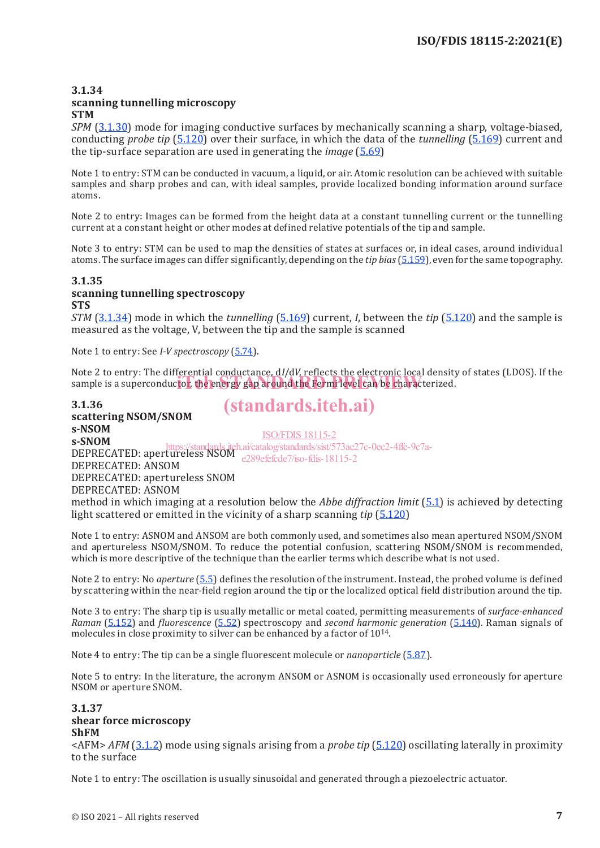#### **3.1.34 scanning tunnelling microscopy STM**

*SPM* (3.1.30) mode for imaging conductive surfaces by mechanically scanning a sharp, voltage-biased, conducting *probe tip* (5.120) over their surface, in which the data of the *tunnelling* (5.169) current and the tip-surface separation are used in generating the *image* (5.69)

Note 1 to entry: STM can be conducted in vacuum, a liquid, or air. Atomic resolution can be achieved with suitable samples and sharp probes and can, with ideal samples, provide localized bonding information around surface atoms.

Note 2 to entry: Images can be formed from the height data at a constant tunnelling current or the tunnelling current at a constant height or other modes at defined relative potentials of the tip and sample.

Note 3 to entry: STM can be used to map the densities of states at surfaces or, in ideal cases, around individual atoms. The surface images can differ significantly, depending on the *tip bias* (5.159), even for the same topography.

#### **3.1.35**

#### **scanning tunnelling spectroscopy STS**

*STM* (3.1.34) mode in which the *tunnelling* (5.169) current, *I*, between the *tip* (5.120) and the sample is measured as the voltage, V, between the tip and the sample is scanned

Note 1 to entry: See *I-V spectroscopy* (5.74).

Note 2 to entry: The differential conductance, d*I*/d*V*, reflects the electronic local density of states (LDOS). If the Note 2 to entry. The unterential conductance, ur/uv, reflects the electronic local density<br>sample is a superconductor, the energy gap around the Fermi level can be characterized.

| 3.1.36                        | <i>(standards.iteh.ai)</i>                                                                                                                  |
|-------------------------------|---------------------------------------------------------------------------------------------------------------------------------------------|
| scattering NSOM/SNOM          |                                                                                                                                             |
| s-NSOM                        | <b>ISO/FDIS 18115-2</b>                                                                                                                     |
| s-SNOM                        |                                                                                                                                             |
|                               | https://standards.jteh.ai/catalog/standards/sist/573ae27c-0ec2-4ffe-9c7a-<br>DEPRECATED: apertureless NSOM<br>e289efefcde7/iso-fdis-18115-2 |
| DEPRECATED: ANSOM             |                                                                                                                                             |
| DEPRECATED: apertureless SNOM |                                                                                                                                             |
| DEPRECATED: ASNOM             |                                                                                                                                             |
|                               | method in which imaging at a resolution below the <i>Abbe diffraction limit</i> $(5.1)$ is achieved by detecting                            |
|                               | light scattered or emitted in the vicinity of a sharp scanning tip (5.120)                                                                  |

Note 1 to entry: ASNOM and ANSOM are both commonly used, and sometimes also mean apertured NSOM/SNOM and apertureless NSOM/SNOM. To reduce the potential confusion, scattering NSOM/SNOM is recommended, which is more descriptive of the technique than the earlier terms which describe what is not used.

Note 2 to entry: No *aperture* (5.5) defines the resolution of the instrument. Instead, the probed volume is defined by scattering within the near-field region around the tip or the localized optical field distribution around the tip.

Note 3 to entry: The sharp tip is usually metallic or metal coated, permitting measurements of *surface-enhanced Raman* (5.152) and *fluorescence* (5.52) spectroscopy and *second harmonic generation* (5.140). Raman signals of molecules in close proximity to silver can be enhanced by a factor of 1014.

Note 4 to entry: The tip can be a single fluorescent molecule or *nanoparticle* (5.87).

Note 5 to entry: In the literature, the acronym ANSOM or ASNOM is occasionally used erroneously for aperture NSOM or aperture SNOM.

#### **3.1.37 shear force microscopy ShFM**

<AFM> *AFM* (3.1.2) mode using signals arising from a *probe tip* (5.120) oscillating laterally in proximity to the surface

Note 1 to entry: The oscillation is usually sinusoidal and generated through a piezoelectric actuator.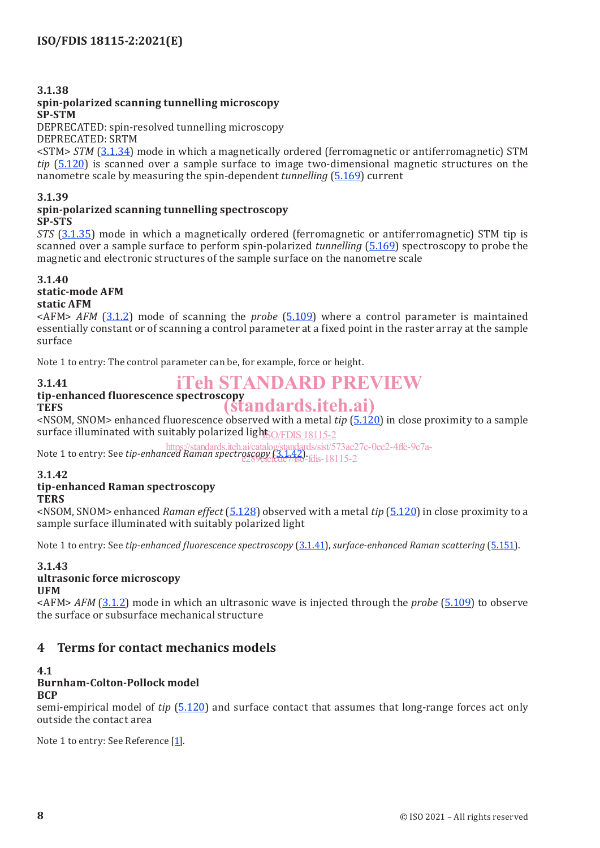#### **3.1.38**

#### **spin-polarized scanning tunnelling microscopy SP-STM**

DEPRECATED: spin-resolved tunnelling microscopy

DEPRECATED: SRTM

<STM> *STM* (3.1.34) mode in which a magnetically ordered (ferromagnetic or antiferromagnetic) STM *tip* (5.120) is scanned over a sample surface to image two-dimensional magnetic structures on the nanometre scale by measuring the spin-dependent *tunnelling* (5.169) current

#### **3.1.39**

#### **spin-polarized scanning tunnelling spectroscopy SP-STS**

*STS* (3.1.35) mode in which a magnetically ordered (ferromagnetic or antiferromagnetic) STM tip is scanned over a sample surface to perform spin-polarized *tunnelling* (5.169) spectroscopy to probe the magnetic and electronic structures of the sample surface on the nanometre scale

**3.1.40 static-mode AFM**

#### **static AFM**

<AFM> *AFM* (3.1.2) mode of scanning the *probe* (5.109) where a control parameter is maintained essentially constant or of scanning a control parameter at a fixed point in the raster array at the sample surface

Note 1 to entry: The control parameter can be, for example, force or height.

#### **3.1.41**

#### **tip-enhanced fluorescence spectroscopy** iTeh STANDARD PREVIEW (standards.iteh.ai)

**TEFS** <NSOM, SNOM> enhanced fluorescence observed with a metal *tip* (5.120) in close proximity to a sample surface illuminated with suitably polarized ligh<u>t <sub>O/FDIS</sub> 18115-2</u>

https://standards.iteh.ai/catalog/standards/sist/573ae27c-0ec2-4ffe-9c7a-<br>Note 1 to entry: See *tip-enhanced Raman spectroscopy* (3.1.42). Filis-18115-2 **e289efefcde7/iso-**fdis-18115-2

#### **3.1.42**

#### **tip-enhanced Raman spectroscopy**

#### **TERS**

<NSOM, SNOM> enhanced *Raman effect* (5.128) observed with a metal *tip* (5.120) in close proximity to a sample surface illuminated with suitably polarized light

Note 1 to entry: See *tip-enhanced fluorescence spectroscopy* (3.1.41), *surface-enhanced Raman scattering* (5.151).

#### **3.1.43 ultrasonic force microscopy UFM**

<AFM> *AFM* (3.1.2) mode in which an ultrasonic wave is injected through the *probe* (5.109) to observe the surface or subsurface mechanical structure

#### **4 Terms for contact mechanics models**

#### **4.1**

#### **Burnham-Colton-Pollock model**

**BCP** semi-empirical model of *tip* (5.120) and surface contact that assumes that long-range forces act only outside the contact area

Note 1 to entry: See Reference [1].